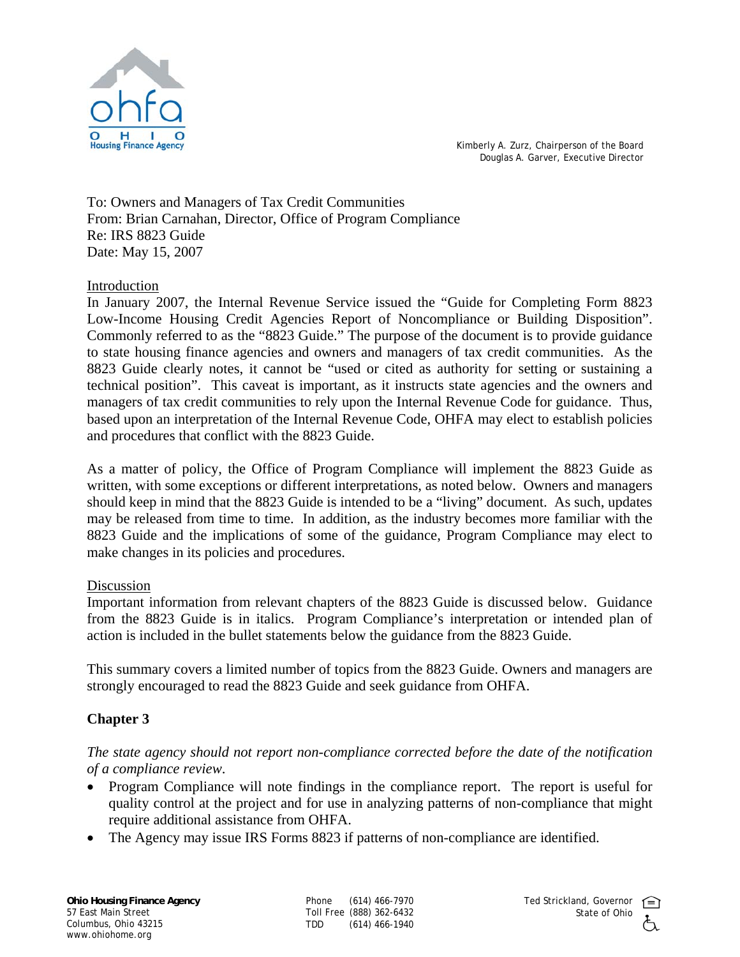

Kimberly A. Zurz, Chairperson of the Board Douglas A. Garver, Executive Director

To: Owners and Managers of Tax Credit Communities From: Brian Carnahan, Director, Office of Program Compliance Re: IRS 8823 Guide Date: May 15, 2007

#### Introduction

In January 2007, the Internal Revenue Service issued the "Guide for Completing Form 8823 Low-Income Housing Credit Agencies Report of Noncompliance or Building Disposition". Commonly referred to as the "8823 Guide." The purpose of the document is to provide guidance to state housing finance agencies and owners and managers of tax credit communities. As the 8823 Guide clearly notes, it cannot be "used or cited as authority for setting or sustaining a technical position". This caveat is important, as it instructs state agencies and the owners and managers of tax credit communities to rely upon the Internal Revenue Code for guidance. Thus, based upon an interpretation of the Internal Revenue Code, OHFA may elect to establish policies and procedures that conflict with the 8823 Guide.

As a matter of policy, the Office of Program Compliance will implement the 8823 Guide as written, with some exceptions or different interpretations, as noted below. Owners and managers should keep in mind that the 8823 Guide is intended to be a "living" document. As such, updates may be released from time to time. In addition, as the industry becomes more familiar with the 8823 Guide and the implications of some of the guidance, Program Compliance may elect to make changes in its policies and procedures.

#### Discussion

Important information from relevant chapters of the 8823 Guide is discussed below. Guidance from the 8823 Guide is in italics. Program Compliance's interpretation or intended plan of action is included in the bullet statements below the guidance from the 8823 Guide.

This summary covers a limited number of topics from the 8823 Guide. Owners and managers are strongly encouraged to read the 8823 Guide and seek guidance from OHFA.

# **Chapter 3**

## *The state agency should not report non-compliance corrected before the date of the notification of a compliance review*.

- Program Compliance will note findings in the compliance report. The report is useful for quality control at the project and for use in analyzing patterns of non-compliance that might require additional assistance from OHFA.
- The Agency may issue IRS Forms 8823 if patterns of non-compliance are identified.

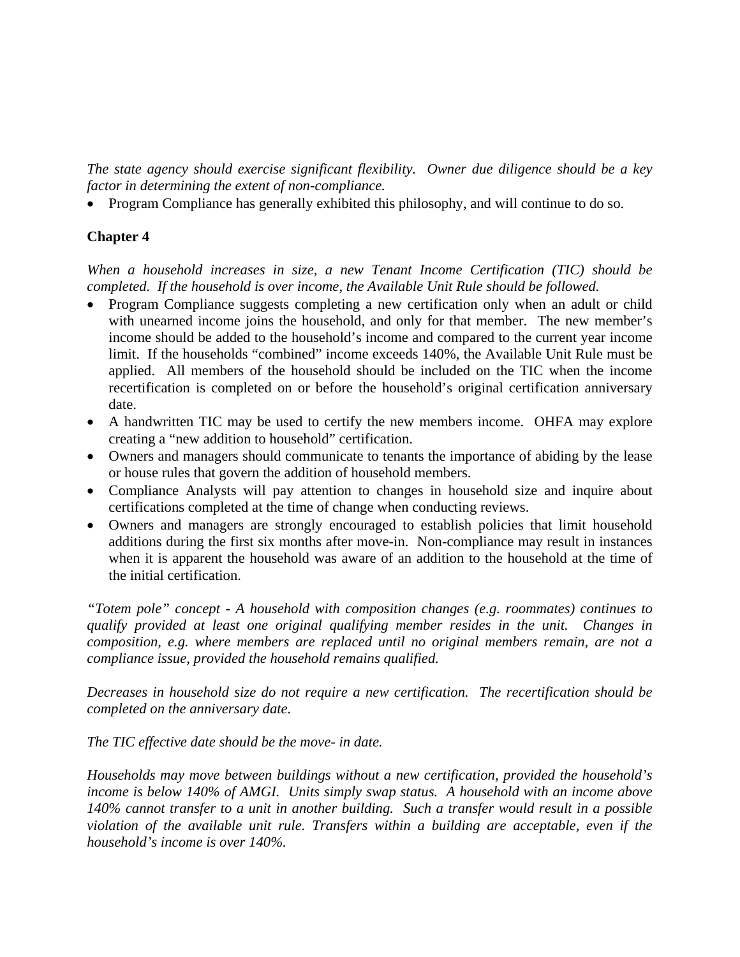*The state agency should exercise significant flexibility. Owner due diligence should be a key factor in determining the extent of non-compliance.* 

• Program Compliance has generally exhibited this philosophy, and will continue to do so.

# **Chapter 4**

*When a household increases in size, a new Tenant Income Certification (TIC) should be completed. If the household is over income, the Available Unit Rule should be followed.* 

- Program Compliance suggests completing a new certification only when an adult or child with unearned income joins the household, and only for that member. The new member's income should be added to the household's income and compared to the current year income limit. If the households "combined" income exceeds 140%, the Available Unit Rule must be applied. All members of the household should be included on the TIC when the income recertification is completed on or before the household's original certification anniversary date.
- A handwritten TIC may be used to certify the new members income. OHFA may explore creating a "new addition to household" certification.
- Owners and managers should communicate to tenants the importance of abiding by the lease or house rules that govern the addition of household members.
- Compliance Analysts will pay attention to changes in household size and inquire about certifications completed at the time of change when conducting reviews.
- Owners and managers are strongly encouraged to establish policies that limit household additions during the first six months after move-in. Non-compliance may result in instances when it is apparent the household was aware of an addition to the household at the time of the initial certification.

*"Totem pole" concept - A household with composition changes (e.g. roommates) continues to qualify provided at least one original qualifying member resides in the unit. Changes in composition, e.g. where members are replaced until no original members remain, are not a compliance issue, provided the household remains qualified.* 

*Decreases in household size do not require a new certification. The recertification should be completed on the anniversary date.* 

*The TIC effective date should be the move- in date.* 

*Households may move between buildings without a new certification, provided the household's income is below 140% of AMGI. Units simply swap status. A household with an income above 140% cannot transfer to a unit in another building. Such a transfer would result in a possible violation of the available unit rule. Transfers within a building are acceptable, even if the household's income is over 140%.*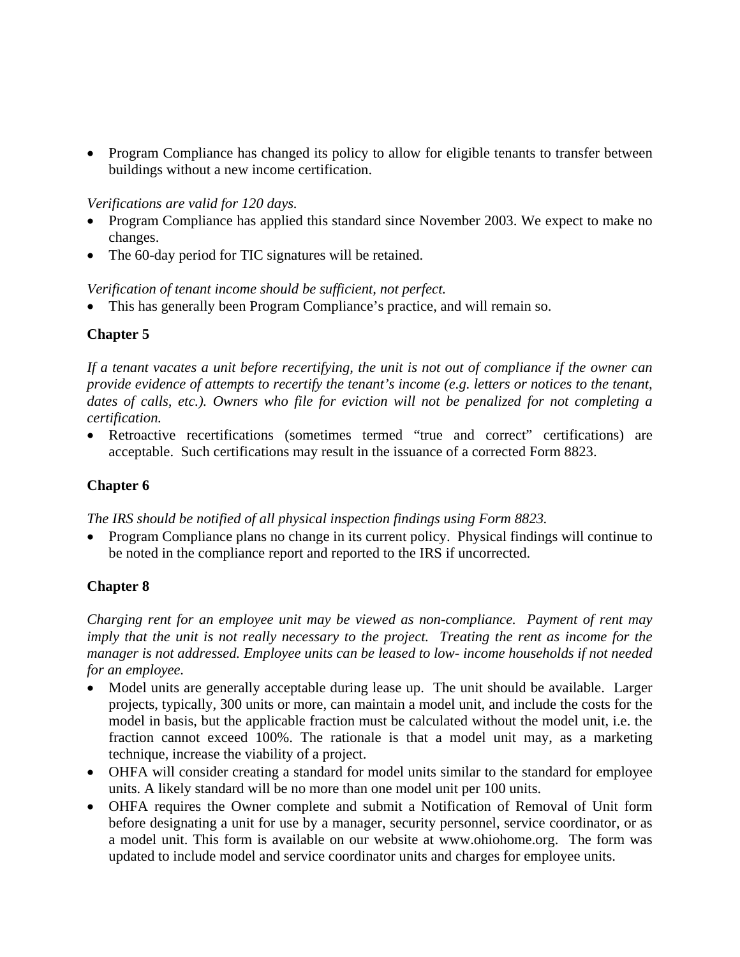• Program Compliance has changed its policy to allow for eligible tenants to transfer between buildings without a new income certification.

#### *Verifications are valid for 120 days.*

- Program Compliance has applied this standard since November 2003. We expect to make no changes.
- The 60-day period for TIC signatures will be retained.

## *Verification of tenant income should be sufficient, not perfect.*

• This has generally been Program Compliance's practice, and will remain so.

# **Chapter 5**

*If a tenant vacates a unit before recertifying, the unit is not out of compliance if the owner can provide evidence of attempts to recertify the tenant's income (e.g. letters or notices to the tenant, dates of calls, etc.). Owners who file for eviction will not be penalized for not completing a certification.* 

• Retroactive recertifications (sometimes termed "true and correct" certifications) are acceptable. Such certifications may result in the issuance of a corrected Form 8823.

# **Chapter 6**

*The IRS should be notified of all physical inspection findings using Form 8823.* 

• Program Compliance plans no change in its current policy. Physical findings will continue to be noted in the compliance report and reported to the IRS if uncorrected.

## **Chapter 8**

*Charging rent for an employee unit may be viewed as non-compliance. Payment of rent may imply that the unit is not really necessary to the project. Treating the rent as income for the manager is not addressed. Employee units can be leased to low- income households if not needed for an employee.* 

- Model units are generally acceptable during lease up. The unit should be available. Larger projects, typically, 300 units or more, can maintain a model unit, and include the costs for the model in basis, but the applicable fraction must be calculated without the model unit, i.e. the fraction cannot exceed 100%. The rationale is that a model unit may, as a marketing technique, increase the viability of a project.
- OHFA will consider creating a standard for model units similar to the standard for employee units. A likely standard will be no more than one model unit per 100 units.
- OHFA requires the Owner complete and submit a Notification of Removal of Unit form before designating a unit for use by a manager, security personnel, service coordinator, or as a model unit. This form is available on our website at www.ohiohome.org. The form was updated to include model and service coordinator units and charges for employee units.